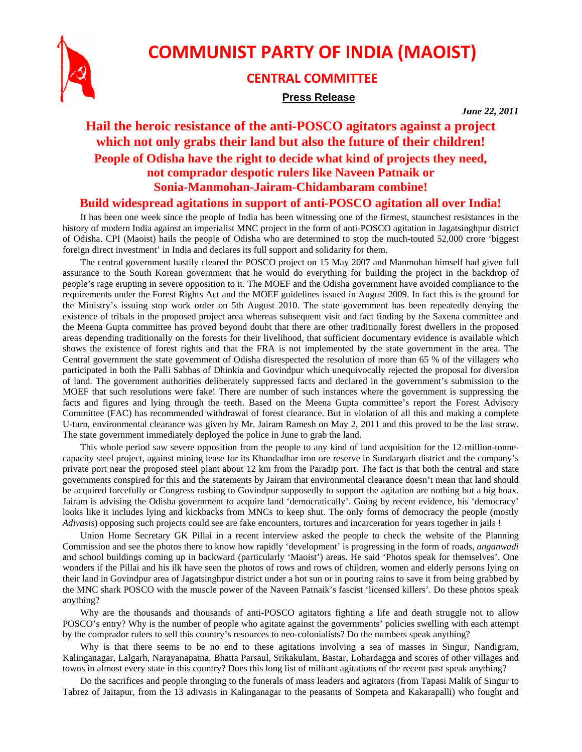

# **COMMUNIST PARTY OF INDIA (MAOIST)**

### **CENTRAL COMMITTEE**

#### **Press Release**

*June 22, 2011* 

## **Hail the heroic resistance of the anti-POSCO agitators against a project which not only grabs their land but also the future of their children! People of Odisha have the right to decide what kind of projects they need, not comprador despotic rulers like Naveen Patnaik or Sonia-Manmohan-Jairam-Chidambaram combine!**

#### **Build widespread agitations in support of anti-POSCO agitation all over India!**

It has been one week since the people of India has been witnessing one of the firmest, staunchest resistances in the history of modern India against an imperialist MNC project in the form of anti-POSCO agitation in Jagatsinghpur district of Odisha. CPI (Maoist) hails the people of Odisha who are determined to stop the much-touted 52,000 crore 'biggest foreign direct investment' in India and declares its full support and solidarity for them.

The central government hastily cleared the POSCO project on 15 May 2007 and Manmohan himself had given full assurance to the South Korean government that he would do everything for building the project in the backdrop of people's rage erupting in severe opposition to it. The MOEF and the Odisha government have avoided compliance to the requirements under the Forest Rights Act and the MOEF guidelines issued in August 2009. In fact this is the ground for the Ministry's issuing stop work order on 5th August 2010. The state government has been repeatedly denying the existence of tribals in the proposed project area whereas subsequent visit and fact finding by the Saxena committee and the Meena Gupta committee has proved beyond doubt that there are other traditionally forest dwellers in the proposed areas depending traditionally on the forests for their livelihood, that sufficient documentary evidence is available which shows the existence of forest rights and that the FRA is not implemented by the state government in the area. The Central government the state government of Odisha disrespected the resolution of more than 65 % of the villagers who participated in both the Palli Sabhas of Dhinkia and Govindpur which unequivocally rejected the proposal for diversion of land. The government authorities deliberately suppressed facts and declared in the government's submission to the MOEF that such resolutions were fake! There are number of such instances where the government is suppressing the facts and figures and lying through the teeth. Based on the Meena Gupta committee's report the Forest Advisory Committee (FAC) has recommended withdrawal of forest clearance. But in violation of all this and making a complete U-turn, environmental clearance was given by Mr. Jairam Ramesh on May 2, 2011 and this proved to be the last straw. The state government immediately deployed the police in June to grab the land.

This whole period saw severe opposition from the people to any kind of land acquisition for the 12-million-tonnecapacity steel project, against mining lease for its Khandadhar iron ore reserve in Sundargarh district and the company's private port near the proposed steel plant about 12 km from the Paradip port. The fact is that both the central and state governments conspired for this and the statements by Jairam that environmental clearance doesn't mean that land should be acquired forcefully or Congress rushing to Govindpur supposedly to support the agitation are nothing but a big hoax. Jairam is advising the Odisha government to acquire land 'democratically'. Going by recent evidence, his 'democracy' looks like it includes lying and kickbacks from MNCs to keep shut. The only forms of democracy the people (mostly *Adivasis*) opposing such projects could see are fake encounters, tortures and incarceration for years together in jails !

Union Home Secretary GK Pillai in a recent interview asked the people to check the website of the Planning Commission and see the photos there to know how rapidly 'development' is progressing in the form of roads, *anganwadi* and school buildings coming up in backward (particularly 'Maoist') areas. He said 'Photos speak for themselves'. One wonders if the Pillai and his ilk have seen the photos of rows and rows of children, women and elderly persons lying on their land in Govindpur area of Jagatsinghpur district under a hot sun or in pouring rains to save it from being grabbed by the MNC shark POSCO with the muscle power of the Naveen Patnaik's fascist 'licensed killers'. Do these photos speak anything?

Why are the thousands and thousands of anti-POSCO agitators fighting a life and death struggle not to allow POSCO's entry? Why is the number of people who agitate against the governments' policies swelling with each attempt by the comprador rulers to sell this country's resources to neo-colonialists? Do the numbers speak anything?

Why is that there seems to be no end to these agitations involving a sea of masses in Singur, Nandigram, Kalinganagar, Lalgarh, Narayanapatna, Bhatta Parsaul, Srikakulam, Bastar, Lohardagga and scores of other villages and towns in almost every state in this country? Does this long list of militant agitations of the recent past speak anything?

Do the sacrifices and people thronging to the funerals of mass leaders and agitators (from Tapasi Malik of Singur to Tabrez of Jaitapur, from the 13 adivasis in Kalinganagar to the peasants of Sompeta and Kakarapalli) who fought and